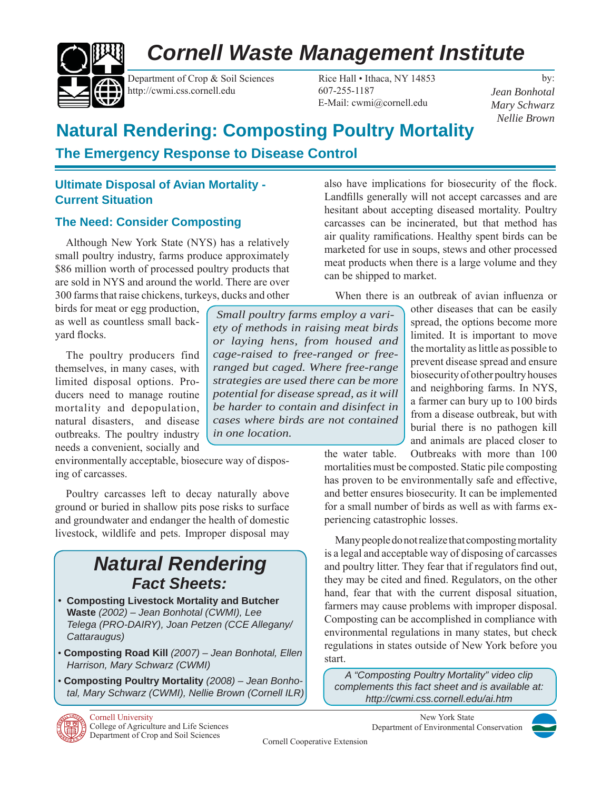# *Cornell Waste Management Institute*



Department of Crop & Soil Sciences Rice Hall • Ithaca, NY 14853 http://cwmi.css.cornell.edu 607-255-1187

E-Mail: cwmi@cornell.edu

by: *Jean Bonhotal Mary Schwarz Nellie Brown*

# **Natural Rendering: Composting Poultry Mortality**

# **The Emergency Response to Disease Control**

# **Ultimate Disposal of Avian Mortality - Current Situation**

# **The Need: Consider Composting**

Although New York State (NYS) has a relatively small poultry industry, farms produce approximately \$86 million worth of processed poultry products that are sold in NYS and around the world. There are over 300 farms that raise chickens, turkeys, ducks and other

birds for meat or egg production, as well as countless small backvard flocks.

The poultry producers find themselves, in many cases, with limited disposal options. Producers need to manage routine mortality and depopulation, natural disasters, and disease outbreaks. The poultry industry needs a convenient, socially and

environmentally acceptable, biosecure way of disposing of carcasses.

Poultry carcasses left to decay naturally above ground or buried in shallow pits pose risks to surface and groundwater and endanger the health of domestic livestock, wildlife and pets. Improper disposal may

# *Natural Rendering Fact Sheets:*

- **Composting Livestock Mortality and Butcher Waste** *(2002) – Jean Bonhotal (CWMI), Lee Telega (PRO-DAIRY), Joan Petzen (CCE Allegany/ Cattaraugus)*
- **Composting Road Kill** *(2007) Jean Bonhotal, Ellen Harrison, Mary Schwarz (CWMI)*
- **Composting Poultry Mortality** *(2008) Jean Bonhotal, Mary Schwarz (CWMI), Nellie Brown (Cornell ILR)*



also have implications for biosecurity of the flock. Landfills generally will not accept carcasses and are hesitant about accepting diseased mortality. Poultry carcasses can be incinerated, but that method has air quality ramifications. Healthy spent birds can be marketed for use in soups, stews and other processed meat products when there is a large volume and they can be shipped to market.

When there is an outbreak of avian influenza or

other diseases that can be easily spread, the options become more limited. It is important to move the mortality as little as possible to prevent disease spread and ensure biosecurity of other poultry houses and neighboring farms. In NYS, a farmer can bury up to 100 birds from a disease outbreak, but with burial there is no pathogen kill and animals are placed closer to

the water table. Outbreaks with more than 100 mortalities must be composted. Static pile composting has proven to be environmentally safe and effective, and better ensures biosecurity. It can be implemented for a small number of birds as well as with farms experiencing catastrophic losses.

Many people do not realize that composting mortality is a legal and acceptable way of disposing of carcasses and poultry litter. They fear that if regulators find out, they may be cited and fined. Regulators, on the other hand, fear that with the current disposal situation, farmers may cause problems with improper disposal. Composting can be accomplished in compliance with environmental regulations in many states, but check regulations in states outside of New York before you start.

*A "Composting Poultry Mortality" video clip complements this fact sheet and is available at: http://cwmi.css.cornell.edu/ai.htm*

> New York State Department of Environmental Conservation



Cornell Cooperative Extension

*Small poultry farms employ a variety of methods in raising meat birds or laying hens, from housed and cage-raised to free-ranged or freeranged but caged. Where free-range strategies are used there can be more potential for disease spread, as it will be harder to contain and disinfect in cases where birds are not contained in one location.*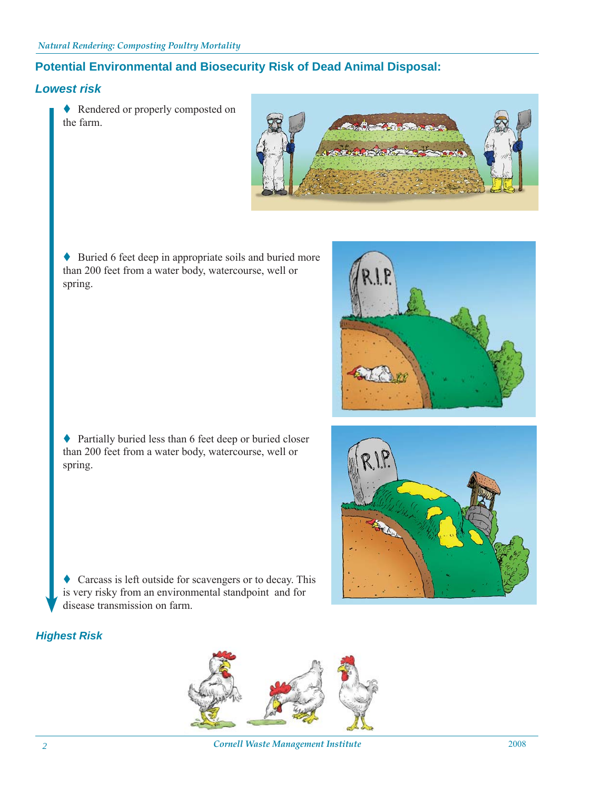# **Potential Environmental and Biosecurity Risk of Dead Animal Disposal:**

# *Lowest risk*

◆ Rendered or properly composted on the farm.



◆ Buried 6 feet deep in appropriate soils and buried more than 200 feet from a water body, watercourse, well or spring.



♦ Partially buried less than 6 feet deep or buried closer than 200 feet from a water body, watercourse, well or spring.



Carcass is left outside for scavengers or to decay. This is very risky from an environmental standpoint and for disease transmission on farm.

## *Highest Risk*



*Cornell Waste Management Institute* 2008 *2*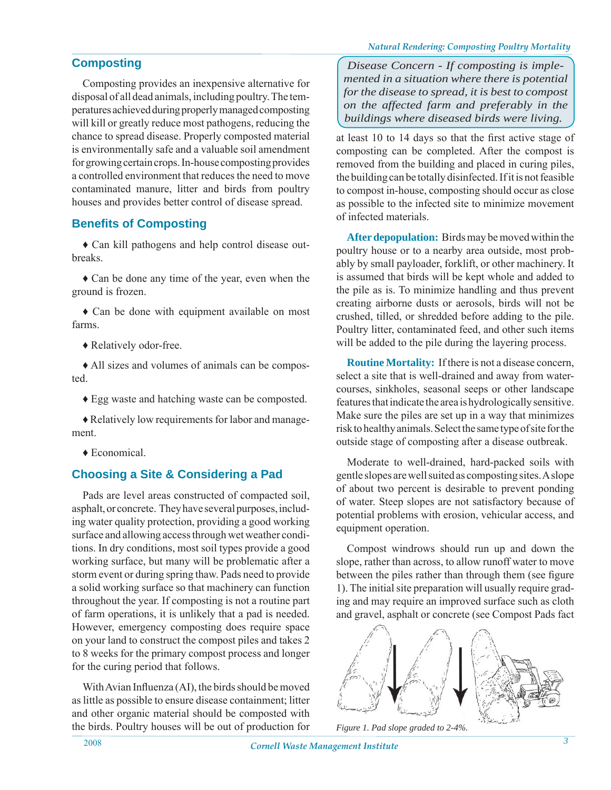# **Composting**

Composting provides an inexpensive alternative for disposal of all dead animals, including poultry. The temperatures achieved during properly managed composting will kill or greatly reduce most pathogens, reducing the chance to spread disease. Properly composted material is environmentally safe and a valuable soil amendment for growing certain crops. In-house composting provides a controlled environment that reduces the need to move contaminated manure, litter and birds from poultry houses and provides better control of disease spread.

# **Benefits of Composting**

♦ Can kill pathogens and help control disease outbreaks.

♦ Can be done any time of the year, even when the ground is frozen.

♦ Can be done with equipment available on most farms.

♦ Relatively odor-free.

♦ All sizes and volumes of animals can be composted.

♦ Egg waste and hatching waste can be composted.

♦ Relatively low requirements for labor and management.

♦ Economical.

# **Choosing a Site & Considering a Pad**

Pads are level areas constructed of compacted soil, asphalt, or concrete. They have several purposes, including water quality protection, providing a good working surface and allowing access through wet weather conditions. In dry conditions, most soil types provide a good working surface, but many will be problematic after a storm event or during spring thaw. Pads need to provide a solid working surface so that machinery can function throughout the year. If composting is not a routine part of farm operations, it is unlikely that a pad is needed. However, emergency composting does require space on your land to construct the compost piles and takes 2 to 8 weeks for the primary compost process and longer for the curing period that follows.

With Avian Influenza  $(AI)$ , the birds should be moved as little as possible to ensure disease containment; litter and other organic material should be composted with the birds. Poultry houses will be out of production for

*Disease Concern - If composting is implemented in a situation where there is potential for the disease to spread, it is best to compost on the affected farm and preferably in the buildings where diseased birds were living.* 

at least 10 to 14 days so that the first active stage of composting can be completed. After the compost is removed from the building and placed in curing piles, the building can be totally disinfected. If it is not feasible to compost in-house, composting should occur as close as possible to the infected site to minimize movement of infected materials.

**After depopulation:** Birds may be moved within the poultry house or to a nearby area outside, most probably by small payloader, forklift, or other machinery. It is assumed that birds will be kept whole and added to the pile as is. To minimize handling and thus prevent creating airborne dusts or aerosols, birds will not be crushed, tilled, or shredded before adding to the pile. Poultry litter, contaminated feed, and other such items will be added to the pile during the layering process.

**Routine Mortality:** If there is not a disease concern, select a site that is well-drained and away from watercourses, sinkholes, seasonal seeps or other landscape features that indicate the area is hydrologically sensitive. Make sure the piles are set up in a way that minimizes risk to healthy animals. Select the same type of site for the outside stage of composting after a disease outbreak.

Moderate to well-drained, hard-packed soils with gentle slopes are well suited as composting sites. A slope of about two percent is desirable to prevent ponding of water. Steep slopes are not satisfactory because of potential problems with erosion, vehicular access, and equipment operation.

Compost windrows should run up and down the slope, rather than across, to allow runoff water to move between the piles rather than through them (see figure 1). The initial site preparation will usually require grading and may require an improved surface such as cloth and gravel, asphalt or concrete (see Compost Pads fact



*Figure 1. Pad slope graded to 2-4%.*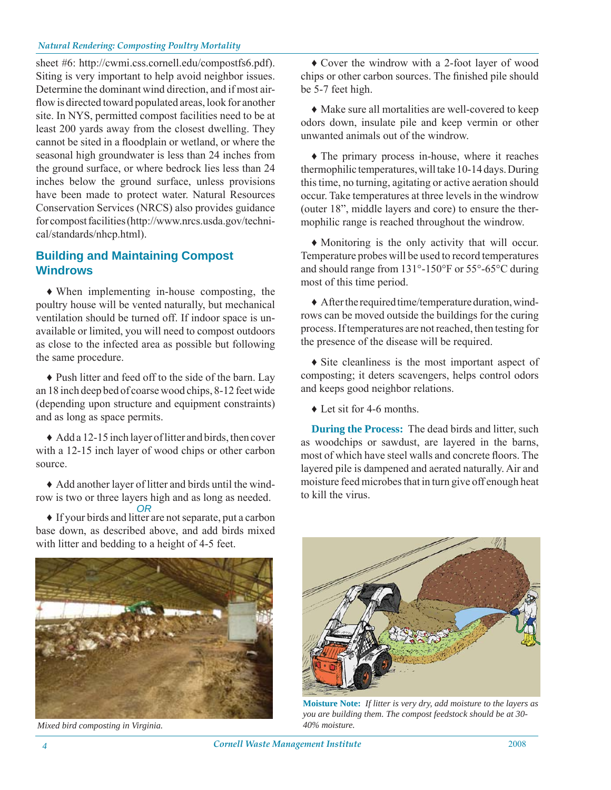sheet #6: http://cwmi.css.cornell.edu/compostfs6.pdf). Siting is very important to help avoid neighbor issues. Determine the dominant wind direction, and if most airflow is directed toward populated areas, look for another site. In NYS, permitted compost facilities need to be at least 200 yards away from the closest dwelling. They cannot be sited in a floodplain or wetland, or where the seasonal high groundwater is less than 24 inches from the ground surface, or where bedrock lies less than 24 inches below the ground surface, unless provisions have been made to protect water. Natural Resources Conservation Services (NRCS) also provides guidance for compost facilities (http://www.nrcs.usda.gov/technical/standards/nhcp.html).

# **Building and Maintaining Compost Windrows**

♦ When implementing in-house composting, the poultry house will be vented naturally, but mechanical ventilation should be turned off. If indoor space is unavailable or limited, you will need to compost outdoors as close to the infected area as possible but following the same procedure.

♦ Push litter and feed off to the side of the barn. Lay an 18 inch deep bed of coarse wood chips, 8-12 feet wide (depending upon structure and equipment constraints) and as long as space permits.

♦ Add a 12-15 inch layer of litter and birds, then cover with a 12-15 inch layer of wood chips or other carbon source.

♦ Add another layer of litter and birds until the windrow is two or three layers high and as long as needed. *OR*

♦ If your birds and litter are not separate, put a carbon base down, as described above, and add birds mixed with litter and bedding to a height of 4-5 feet.



*Mixed bird composting in Virginia.*

♦ Cover the windrow with a 2-foot layer of wood chips or other carbon sources. The finished pile should be 5-7 feet high.

♦ Make sure all mortalities are well-covered to keep odors down, insulate pile and keep vermin or other unwanted animals out of the windrow.

♦ The primary process in-house, where it reaches thermophilic temperatures, will take 10-14 days. During this time, no turning, agitating or active aeration should occur. Take temperatures at three levels in the windrow (outer 18", middle layers and core) to ensure the thermophilic range is reached throughout the windrow.

♦ Monitoring is the only activity that will occur. Temperature probes will be used to record temperatures and should range from 131°-150°F or 55°-65°C during most of this time period.

♦ After the required time/temperature duration, windrows can be moved outside the buildings for the curing process. If temperatures are not reached, then testing for the presence of the disease will be required.

♦ Site cleanliness is the most important aspect of composting; it deters scavengers, helps control odors and keeps good neighbor relations.

♦ Let sit for 4-6 months.

**During the Process:** The dead birds and litter, such as woodchips or sawdust, are layered in the barns, most of which have steel walls and concrete floors. The layered pile is dampened and aerated naturally. Air and moisture feed microbes that in turn give off enough heat to kill the virus.



**Moisture Note:** *If litter is very dry, add moisture to the layers as you are building them. The compost feedstock should be at 30- 40% moisture.*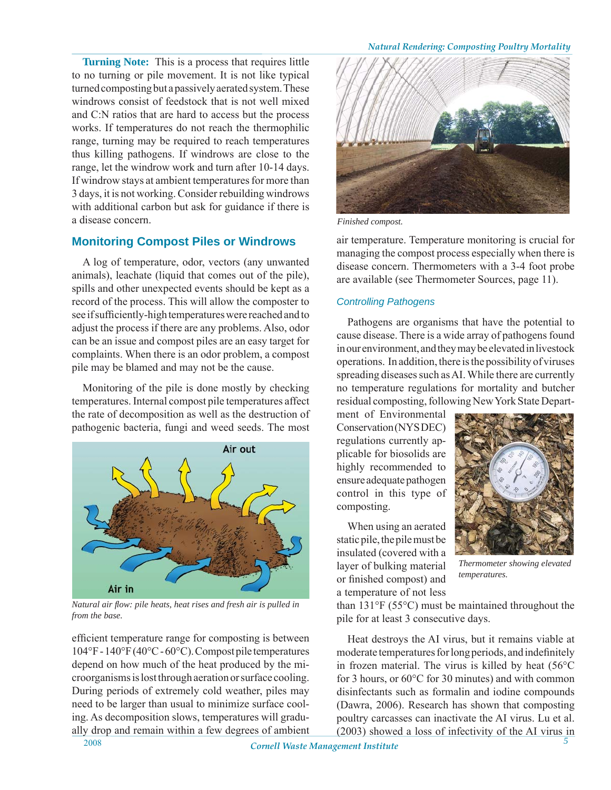**Turning Note:** This is a process that requires little to no turning or pile movement. It is not like typical turned composting but a passively aerated system. These windrows consist of feedstock that is not well mixed and C:N ratios that are hard to access but the process works. If temperatures do not reach the thermophilic range, turning may be required to reach temperatures thus killing pathogens. If windrows are close to the range, let the windrow work and turn after 10-14 days. If windrow stays at ambient temperatures for more than 3 days, it is not working. Consider rebuilding windrows with additional carbon but ask for guidance if there is a disease concern.

# **Monitoring Compost Piles or Windrows**

A log of temperature, odor, vectors (any unwanted animals), leachate (liquid that comes out of the pile), spills and other unexpected events should be kept as a record of the process. This will allow the composter to see if sufficiently-high temperatures were reached and to adjust the process if there are any problems. Also, odor can be an issue and compost piles are an easy target for complaints. When there is an odor problem, a compost pile may be blamed and may not be the cause.

Monitoring of the pile is done mostly by checking temperatures. Internal compost pile temperatures affect the rate of decomposition as well as the destruction of pathogenic bacteria, fungi and weed seeds. The most



*Natural air fl ow: pile heats, heat rises and fresh air is pulled in from the base.*

efficient temperature range for composting is between 104°F - 140°F (40°C - 60°C). Compost pile temperatures depend on how much of the heat produced by the microorganisms is lost through aeration or surface cooling. During periods of extremely cold weather, piles may need to be larger than usual to minimize surface cooling. As decomposition slows, temperatures will gradually drop and remain within a few degrees of ambient



*Finished compost.*

air temperature. Temperature monitoring is crucial for managing the compost process especially when there is disease concern. Thermometers with a 3-4 foot probe are available (see Thermometer Sources, page 11).

#### *Controlling Pathogens*

Pathogens are organisms that have the potential to cause disease. There is a wide array of pathogens found in our environment, and they may be elevated in livestock operations. In addition, there is the possibility of viruses spreading diseases such as AI. While there are currently no temperature regulations for mortality and butcher residual composting, following New York State Depart-

ment of Environmental Conservation (NYS DEC) regulations currently applicable for biosolids are highly recommended to ensure adequate pathogen control in this type of composting.

When using an aerated static pile, the pile must be insulated (covered with a layer of bulking material or finished compost) and a temperature of not less



*Thermometer showing elevated temperatures.*

than 131°F (55°C) must be maintained throughout the pile for at least 3 consecutive days.

Heat destroys the AI virus, but it remains viable at moderate temperatures for long periods, and indefinitely in frozen material. The virus is killed by heat (56°C for 3 hours, or 60°C for 30 minutes) and with common disinfectants such as formalin and iodine compounds (Dawra, 2006). Research has shown that composting poultry carcasses can inactivate the AI virus. Lu et al. (2003) showed a loss of infectivity of the AI virus in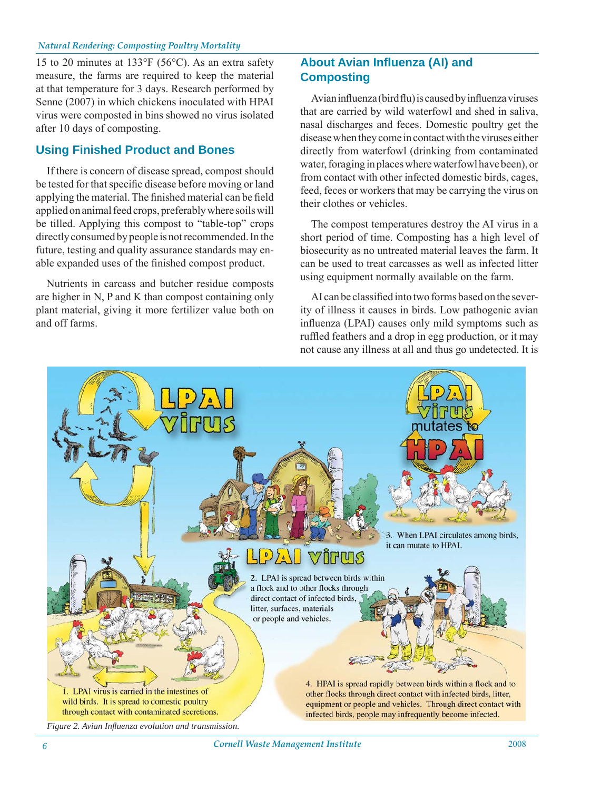15 to 20 minutes at 133°F (56°C). As an extra safety measure, the farms are required to keep the material at that temperature for 3 days. Research performed by Senne (2007) in which chickens inoculated with HPAI virus were composted in bins showed no virus isolated after 10 days of composting.

# **Using Finished Product and Bones**

If there is concern of disease spread, compost should be tested for that specific disease before moving or land applying the material. The finished material can be field applied on animal feed crops, preferably where soils will be tilled. Applying this compost to "table-top" crops directly consumed by people is not recommended. In the future, testing and quality assurance standards may enable expanded uses of the finished compost product.

Nutrients in carcass and butcher residue composts are higher in N, P and K than compost containing only plant material, giving it more fertilizer value both on and off farms.

# **About Avian Influenza (AI) and Composting**

Avian influenza (bird flu) is caused by influenza viruses that are carried by wild waterfowl and shed in saliva, nasal discharges and feces. Domestic poultry get the disease when they come in contact with the viruses either directly from waterfowl (drinking from contaminated water, foraging in places where waterfowl have been), or from contact with other infected domestic birds, cages, feed, feces or workers that may be carrying the virus on their clothes or vehicles.

The compost temperatures destroy the AI virus in a short period of time. Composting has a high level of biosecurity as no untreated material leaves the farm. It can be used to treat carcasses as well as infected litter using equipment normally available on the farm.

AI can be classified into two forms based on the severity of illness it causes in birds. Low pathogenic avian influenza (LPAI) causes only mild symptoms such as ruffled feathers and a drop in egg production, or it may not cause any illness at all and thus go undetected. It is



*Figure 2. Avian Infl uenza evolution and transmission.*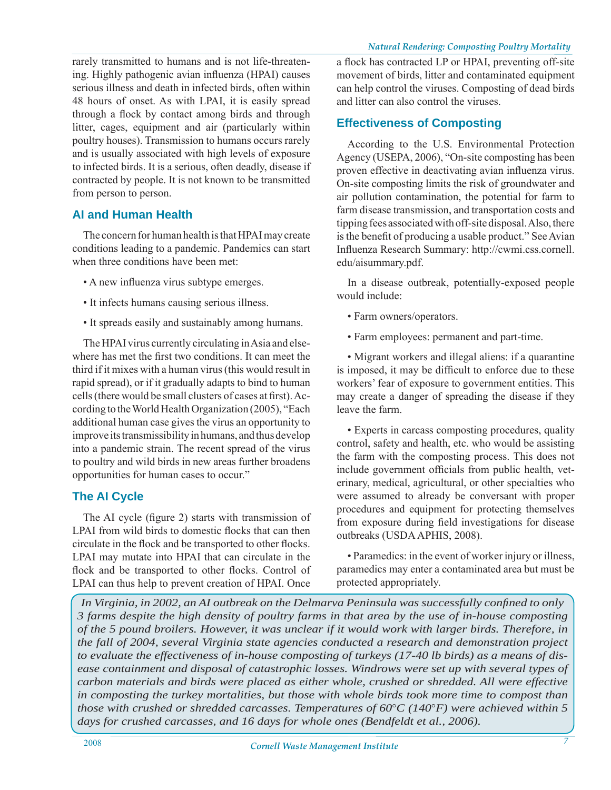rarely transmitted to humans and is not life-threatening. Highly pathogenic avian influenza (HPAI) causes serious illness and death in infected birds, often within 48 hours of onset. As with LPAI, it is easily spread through a flock by contact among birds and through litter, cages, equipment and air (particularly within poultry houses). Transmission to humans occurs rarely and is usually associated with high levels of exposure to infected birds. It is a serious, often deadly, disease if contracted by people. It is not known to be transmitted from person to person.

# **AI and Human Health**

The concern for human health is that HPAI may create conditions leading to a pandemic. Pandemics can start when three conditions have been met:

- A new influenza virus subtype emerges.
- It infects humans causing serious illness.
- It spreads easily and sustainably among humans.

The HPAI virus currently circulating in Asia and elsewhere has met the first two conditions. It can meet the third if it mixes with a human virus (this would result in rapid spread), or if it gradually adapts to bind to human cells (there would be small clusters of cases at first). According to the World Health Organization (2005), "Each additional human case gives the virus an opportunity to improve its transmissibility in humans, and thus develop into a pandemic strain. The recent spread of the virus to poultry and wild birds in new areas further broadens opportunities for human cases to occur."

## **The AI Cycle**

The AI cycle (figure 2) starts with transmission of LPAI from wild birds to domestic flocks that can then circulate in the flock and be transported to other flocks. LPAI may mutate into HPAI that can circulate in the flock and be transported to other flocks. Control of LPAI can thus help to prevent creation of HPAI. Once

a flock has contracted LP or HPAI, preventing off-site movement of birds, litter and contaminated equipment can help control the viruses. Composting of dead birds and litter can also control the viruses.

# **Effectiveness of Composting**

According to the U.S. Environmental Protection Agency (USEPA, 2006), "On-site composting has been proven effective in deactivating avian influenza virus. On-site composting limits the risk of groundwater and air pollution contamination, the potential for farm to farm disease transmission, and transportation costs and tipping fees associated with off-site disposal. Also, there is the benefit of producing a usable product." See Avian Influenza Research Summary: http://cwmi.css.cornell. edu/aisummary.pdf.

In a disease outbreak, potentially-exposed people would include:

- Farm owners/operators.
- Farm employees: permanent and part-time.

• Migrant workers and illegal aliens: if a quarantine is imposed, it may be difficult to enforce due to these workers' fear of exposure to government entities. This may create a danger of spreading the disease if they leave the farm.

• Experts in carcass composting procedures, quality control, safety and health, etc. who would be assisting the farm with the composting process. This does not include government officials from public health, veterinary, medical, agricultural, or other specialties who were assumed to already be conversant with proper procedures and equipment for protecting themselves from exposure during field investigations for disease outbreaks (USDA APHIS, 2008).

• Paramedics: in the event of worker injury or illness, paramedics may enter a contaminated area but must be protected appropriately.

*In Virginia, in 2002, an AI outbreak on the Delmarva Peninsula was successfully confined to only 3 farms despite the high density of poultry farms in that area by the use of in-house composting of the 5 pound broilers. However, it was unclear if it would work with larger birds. Therefore, in the fall of 2004, several Virginia state agencies conducted a research and demonstration project to evaluate the effectiveness of in-house composting of turkeys (17-40 lb birds) as a means of disease containment and disposal of catastrophic losses. Windrows were set up with several types of carbon materials and birds were placed as either whole, crushed or shredded. All were effective in composting the turkey mortalities, but those with whole birds took more time to compost than those with crushed or shredded carcasses. Temperatures of 60*°*C (140*°*F) were achieved within 5 days for crushed carcasses, and 16 days for whole ones (Bendfeldt et al., 2006).*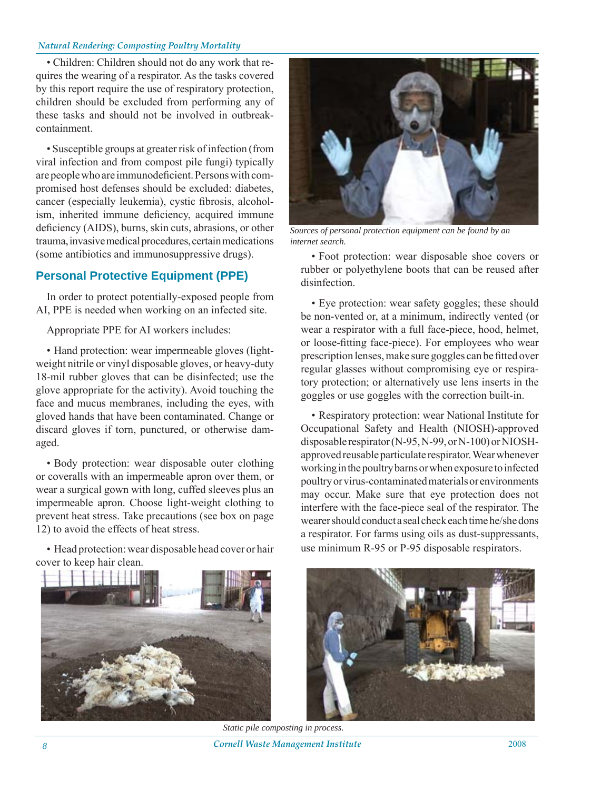• Children: Children should not do any work that requires the wearing of a respirator. As the tasks covered by this report require the use of respiratory protection, children should be excluded from performing any of these tasks and should not be involved in outbreakcontainment.

• Susceptible groups at greater risk of infection (from viral infection and from compost pile fungi) typically are people who are immunodeficient. Persons with compromised host defenses should be excluded: diabetes, cancer (especially leukemia), cystic fibrosis, alcoholism, inherited immune deficiency, acquired immune deficiency (AIDS), burns, skin cuts, abrasions, or other trauma, invasive medical procedures, certain medications (some antibiotics and immunosuppressive drugs).

# **Personal Protective Equipment (PPE)**

In order to protect potentially-exposed people from AI, PPE is needed when working on an infected site.

Appropriate PPE for AI workers includes:

• Hand protection: wear impermeable gloves (lightweight nitrile or vinyl disposable gloves, or heavy-duty 18-mil rubber gloves that can be disinfected; use the glove appropriate for the activity). Avoid touching the face and mucus membranes, including the eyes, with gloved hands that have been contaminated. Change or discard gloves if torn, punctured, or otherwise damaged.

• Body protection: wear disposable outer clothing or coveralls with an impermeable apron over them, or wear a surgical gown with long, cuffed sleeves plus an impermeable apron. Choose light-weight clothing to prevent heat stress. Take precautions (see box on page 12) to avoid the effects of heat stress.

• Head protection: wear disposable head cover or hair cover to keep hair clean.



*Sources of personal protection equipment can be found by an internet search.*

• Foot protection: wear disposable shoe covers or rubber or polyethylene boots that can be reused after disinfection.

• Eye protection: wear safety goggles; these should be non-vented or, at a minimum, indirectly vented (or wear a respirator with a full face-piece, hood, helmet, or loose-fitting face-piece). For employees who wear prescription lenses, make sure goggles can be fitted over regular glasses without compromising eye or respiratory protection; or alternatively use lens inserts in the goggles or use goggles with the correction built-in.

• Respiratory protection: wear National Institute for Occupational Safety and Health (NIOSH)-approved disposable respirator (N-95, N-99, or N-100) or NIOSHapproved reusable particulate respirator. Wear whenever working in the poultry barns or when exposure to infected poultry or virus-contaminated materials or environments may occur. Make sure that eye protection does not interfere with the face-piece seal of the respirator. The wearer should conduct a seal check each time he/she dons a respirator. For farms using oils as dust-suppressants, use minimum R-95 or P-95 disposable respirators.





*Cornell Waste Management Institute* 2008 *8*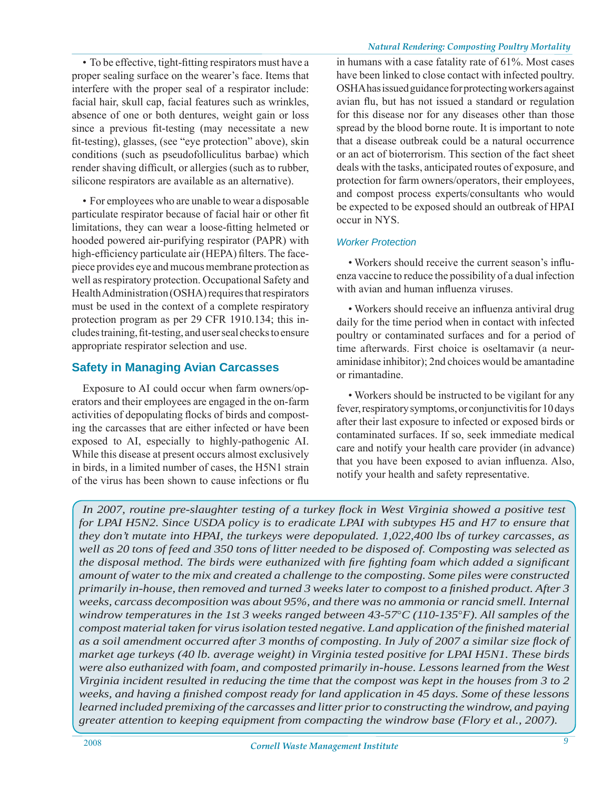• To be effective, tight-fitting respirators must have a proper sealing surface on the wearer's face. Items that interfere with the proper seal of a respirator include: facial hair, skull cap, facial features such as wrinkles, absence of one or both dentures, weight gain or loss since a previous fit-testing (may necessitate a new fit-testing), glasses, (see "eye protection" above), skin conditions (such as pseudofolliculitus barbae) which render shaving difficult, or allergies (such as to rubber, silicone respirators are available as an alternative).

• For employees who are unable to wear a disposable particulate respirator because of facial hair or other fit limitations, they can wear a loose-fitting helmeted or hooded powered air-purifying respirator (PAPR) with high-efficiency particulate air (HEPA) filters. The facepiece provides eye and mucous membrane protection as well as respiratory protection. Occupational Safety and Health Administration (OSHA) requires that respirators must be used in the context of a complete respiratory protection program as per 29 CFR 1910.134; this includes training, fit-testing, and user seal checks to ensure appropriate respirator selection and use.

# **Safety in Managing Avian Carcasses**

Exposure to AI could occur when farm owners/operators and their employees are engaged in the on-farm activities of depopulating flocks of birds and composting the carcasses that are either infected or have been exposed to AI, especially to highly-pathogenic AI. While this disease at present occurs almost exclusively in birds, in a limited number of cases, the H5N1 strain of the virus has been shown to cause infections or flu

in humans with a case fatality rate of 61%. Most cases have been linked to close contact with infected poultry. OSHA has issued guidance for protecting workers against avian flu, but has not issued a standard or regulation for this disease nor for any diseases other than those spread by the blood borne route. It is important to note that a disease outbreak could be a natural occurrence or an act of bioterrorism. This section of the fact sheet deals with the tasks, anticipated routes of exposure, and protection for farm owners/operators, their employees, and compost process experts/consultants who would be expected to be exposed should an outbreak of HPAI occur in NYS.

## *Worker Protection*

• Workers should receive the current season's influenza vaccine to reduce the possibility of a dual infection with avian and human influenza viruses.

• Workers should receive an influenza antiviral drug daily for the time period when in contact with infected poultry or contaminated surfaces and for a period of time afterwards. First choice is oseltamavir (a neuraminidase inhibitor); 2nd choices would be amantadine or rimantadine.

Workers should be instructed to be vigilant for any •fever, respiratory symptoms, or conjunctivitis for 10 days after their last exposure to infected or exposed birds or contaminated surfaces. If so, seek immediate medical care and notify your health care provider (in advance) that you have been exposed to avian influenza. Also, notify your health and safety representative.

*In 2007, routine pre-slaughter testing of a turkey fl ock in West Virginia showed a positive test for LPAI H5N2. Since USDA policy is to eradicate LPAI with subtypes H5 and H7 to ensure that they don't mutate into HPAI, the turkeys were depopulated. 1,022,400 lbs of turkey carcasses, as well as 20 tons of feed and 350 tons of litter needed to be disposed of. Composting was selected as the disposal method. The birds were euthanized with fire fighting foam which added a significant amount of water to the mix and created a challenge to the composting. Some piles were constructed primarily in-house, then removed and turned 3 weeks later to compost to a finished product. After 3 weeks, carcass decomposition was about 95%, and there was no ammonia or rancid smell. Internal windrow temperatures in the 1st 3 weeks ranged between 43-57*°*C (110-135*°*F). All samples of the compost material taken for virus isolation tested negative. Land application of the finished material as a soil amendment occurred after 3 months of composting. In July of 2007 a similar size fl ock of market age turkeys (40 lb. average weight) in Virginia tested positive for LPAI H5N1. These birds were also euthanized with foam, and composted primarily in-house. Lessons learned from the West Virginia incident resulted in reducing the time that the compost was kept in the houses from 3 to 2 weeks, and having a fi nished compost ready for land application in 45 days. Some of these lessons learned included premixing of the carcasses and litter prior to constructing the windrow, and paying greater attention to keeping equipment from compacting the windrow base (Flory et al., 2007).*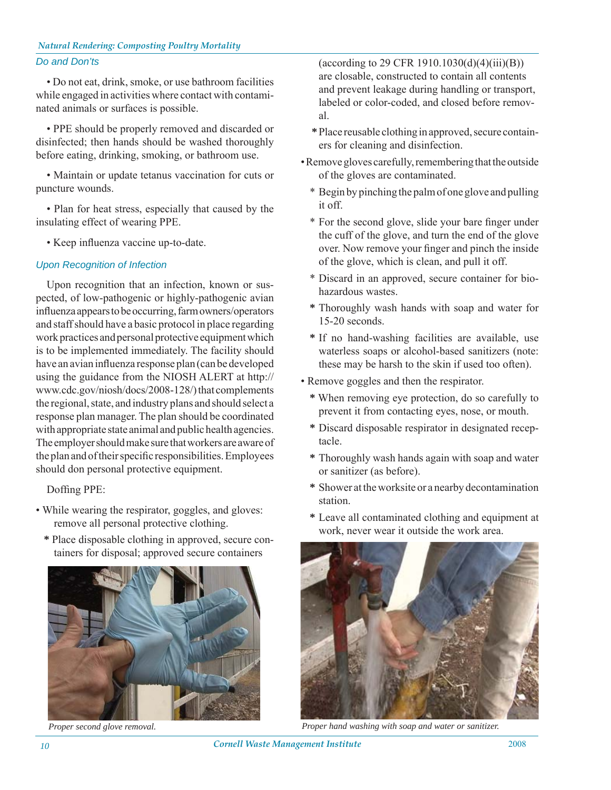#### *Do and Don'ts*

• Do not eat, drink, smoke, or use bathroom facilities while engaged in activities where contact with contaminated animals or surfaces is possible.

• PPE should be properly removed and discarded or disinfected; then hands should be washed thoroughly before eating, drinking, smoking, or bathroom use.

• Maintain or update tetanus vaccination for cuts or puncture wounds.

• Plan for heat stress, especially that caused by the insulating effect of wearing PPE.

• Keep influenza vaccine up-to-date.

#### *Upon Recognition of Infection*

Upon recognition that an infection, known or suspected, of low-pathogenic or highly-pathogenic avian influenza appears to be occurring, farm owners/operators and staff should have a basic protocol in place regarding work practices and personal protective equipment which is to be implemented immediately. The facility should have an avian influenza response plan (can be developed using the guidance from the NIOSH ALERT at http:// www.cdc.gov/niosh/docs/2008-128/) that complements the regional, state, and industry plans and should select a response plan manager. The plan should be coordinated with appropriate state animal and public health agencies. The employer should make sure that workers are aware of the plan and of their specific responsibilities. Employees should don personal protective equipment.

Doffing PPE:

- While wearing the respirator, goggles, and gloves: remove all personal protective clothing.
	- **\*** Place disposable clothing in approved, secure containers for disposal; approved secure containers



(according to 29 CFR 1910.1030(d)(4)(iii)(B)) are closable, constructed to contain all contents and prevent leakage during handling or transport, labeled or color-coded, and closed before removal.

- **\*** Place reusable clothing in approved, secure containers for cleaning and disinfection.
- Remove gloves carefully, remembering that the outside of the gloves are contaminated.
	- \* Begin by pinching the palm of one glove and pulling it off.
	- \* For the second glove, slide your bare finger under the cuff of the glove, and turn the end of the glove over. Now remove your finger and pinch the inside of the glove, which is clean, and pull it off.
	- \* Discard in an approved, secure container for biohazardous wastes.
	- **\*** Thoroughly wash hands with soap and water for 15-20 seconds.
	- **\*** If no hand-washing facilities are available, use waterless soaps or alcohol-based sanitizers (note: these may be harsh to the skin if used too often).
- Remove goggles and then the respirator.
	- **\*** When removing eye protection, do so carefully to prevent it from contacting eyes, nose, or mouth.
	- **\*** Discard disposable respirator in designated receptacle.
	- **\*** Thoroughly wash hands again with soap and water or sanitizer (as before).
	- **\*** Shower at the worksite or a nearby decontamination station.
	- **\*** Leave all contaminated clothing and equipment at work, never wear it outside the work area.



*Proper second glove removal. Proper hand washing with soap and water or sanitizer.*

*Cornell Waste Management Institute* 2008 *10*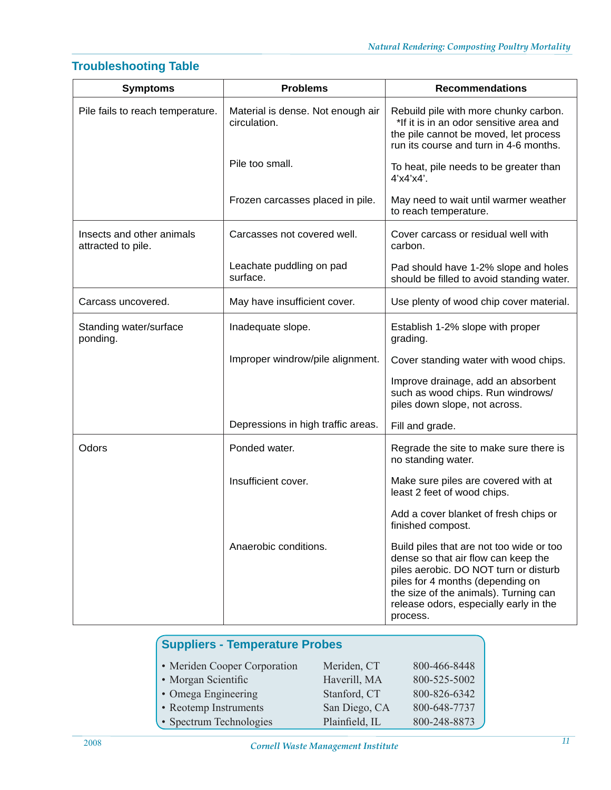# **Troubleshooting Table**

| <b>Symptoms</b>                                 | <b>Problems</b>                                   | <b>Recommendations</b>                                                                                                                                                                                                                                      |  |
|-------------------------------------------------|---------------------------------------------------|-------------------------------------------------------------------------------------------------------------------------------------------------------------------------------------------------------------------------------------------------------------|--|
| Pile fails to reach temperature.                | Material is dense. Not enough air<br>circulation. | Rebuild pile with more chunky carbon.<br>*If it is in an odor sensitive area and<br>the pile cannot be moved, let process<br>run its course and turn in 4-6 months.                                                                                         |  |
|                                                 | Pile too small.                                   | To heat, pile needs to be greater than<br>$4'$ x $4'$ x $4'$ .                                                                                                                                                                                              |  |
|                                                 | Frozen carcasses placed in pile.                  | May need to wait until warmer weather<br>to reach temperature.                                                                                                                                                                                              |  |
| Insects and other animals<br>attracted to pile. | Carcasses not covered well.                       | Cover carcass or residual well with<br>carbon.                                                                                                                                                                                                              |  |
|                                                 | Leachate puddling on pad<br>surface.              | Pad should have 1-2% slope and holes<br>should be filled to avoid standing water.                                                                                                                                                                           |  |
| Carcass uncovered.                              | May have insufficient cover.                      | Use plenty of wood chip cover material.                                                                                                                                                                                                                     |  |
| Standing water/surface<br>ponding.              | Inadequate slope.                                 | Establish 1-2% slope with proper<br>grading.                                                                                                                                                                                                                |  |
|                                                 | Improper windrow/pile alignment.                  | Cover standing water with wood chips.                                                                                                                                                                                                                       |  |
|                                                 |                                                   | Improve drainage, add an absorbent<br>such as wood chips. Run windrows/<br>piles down slope, not across.                                                                                                                                                    |  |
|                                                 | Depressions in high traffic areas.                | Fill and grade.                                                                                                                                                                                                                                             |  |
| Odors                                           | Ponded water.                                     | Regrade the site to make sure there is<br>no standing water.                                                                                                                                                                                                |  |
|                                                 | Insufficient cover.                               | Make sure piles are covered with at<br>least 2 feet of wood chips.                                                                                                                                                                                          |  |
|                                                 |                                                   | Add a cover blanket of fresh chips or<br>finished compost.                                                                                                                                                                                                  |  |
|                                                 | Anaerobic conditions.                             | Build piles that are not too wide or too<br>dense so that air flow can keep the<br>piles aerobic. DO NOT turn or disturb<br>piles for 4 months (depending on<br>the size of the animals). Turning can<br>release odors, especially early in the<br>process. |  |

| <b>Suppliers - Temperature Probes</b> |                |              |  |
|---------------------------------------|----------------|--------------|--|
| • Meriden Cooper Corporation          | Meriden, CT    | 800-466-8448 |  |
| • Morgan Scientific                   | Haverill, MA   | 800-525-5002 |  |
| • Omega Engineering                   | Stanford, CT   | 800-826-6342 |  |
| • Reotemp Instruments                 | San Diego, CA  | 800-648-7737 |  |
| • Spectrum Technologies               | Plainfield, IL | 800-248-8873 |  |